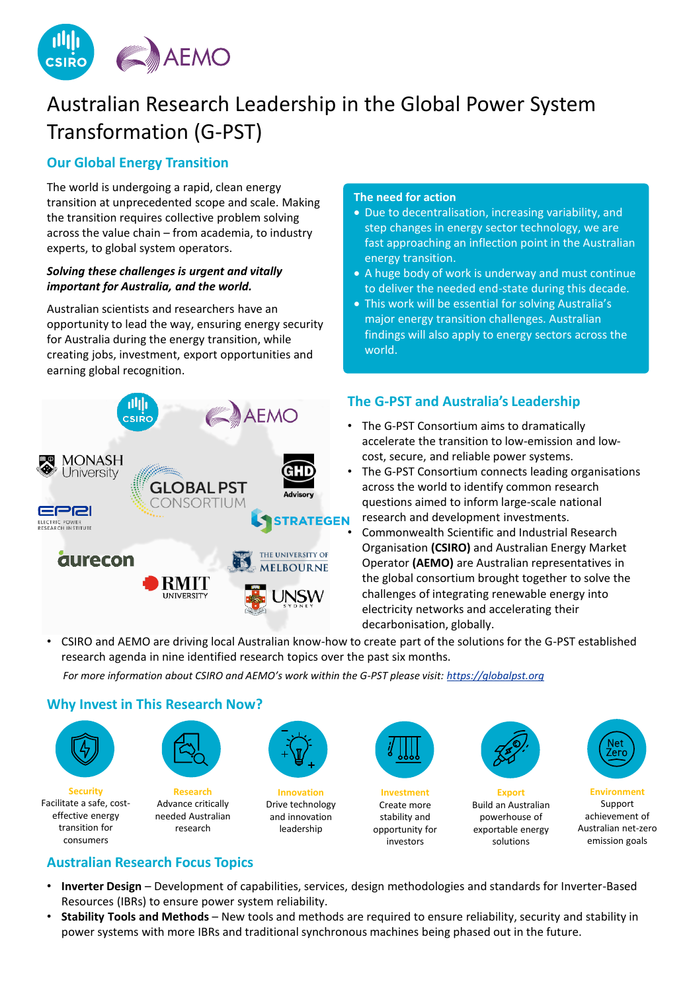

# Australian Research Leadership in the Global Power System Transformation (G-PST)

### **Our Global Energy Transition**

The world is undergoing a rapid, clean energy transition at unprecedented scope and scale. Making the transition requires collective problem solving across the value chain – from academia, to industry experts, to global system operators.

### *Solving these challenges is urgent and vitally important for Australia, and the world.*

Australian scientists and researchers have an opportunity to lead the way, ensuring energy security for Australia during the energy transition, while creating jobs, investment, export opportunities and earning global recognition.



#### **The need for action**

- Due to decentralisation, increasing variability, and step changes in energy sector technology, we are fast approaching an inflection point in the Australian energy transition.
- A huge body of work is underway and must continue to deliver the needed end-state during this decade.
- This work will be essential for solving Australia's major energy transition challenges. Australian findings will also apply to energy sectors across the world.

# **The G-PST and Australia's Leadership**

- The G-PST Consortium aims to dramatically accelerate the transition to low-emission and lowcost, secure, and reliable power systems.
- The G-PST Consortium connects leading organisations across the world to identify common research questions aimed to inform large-scale national research and development investments.
- Commonwealth Scientific and Industrial Research Organisation **(CSIRO)** and Australian Energy Market Operator **(AEMO)** are Australian representatives in the global consortium brought together to solve the challenges of integrating renewable energy into electricity networks and accelerating their decarbonisation, globally.
- CSIRO and AEMO are driving local Australian know-how to create part of the solutions for the G-PST established research agenda in nine identified research topics over the past six months.

*For more information about CSIRO and AEMO's work within the G-PST please visit: [https://globalpst.org](https://globalpst.org/)*

### **Why Invest in This Research Now?**



**Security** Facilitate a safe, costeffective energy transition for consumers



**Research** Advance critically needed Australian research



**Innovation** Drive technology and innovation leadership



**Investment** Create more stability and opportunity for investors



**Export**

exportable energy solutions

Build an Australian powerhouse of



<u>Net</u> Zero

Australian net-zero emission goals

# **Australian Research Focus Topics**

- **Inverter Design** Development of capabilities, services, design methodologies and standards for Inverter-Based Resources (IBRs) to ensure power system reliability.
- **Stability Tools and Methods** New tools and methods are required to ensure reliability, security and stability in power systems with more IBRs and traditional synchronous machines being phased out in the future.